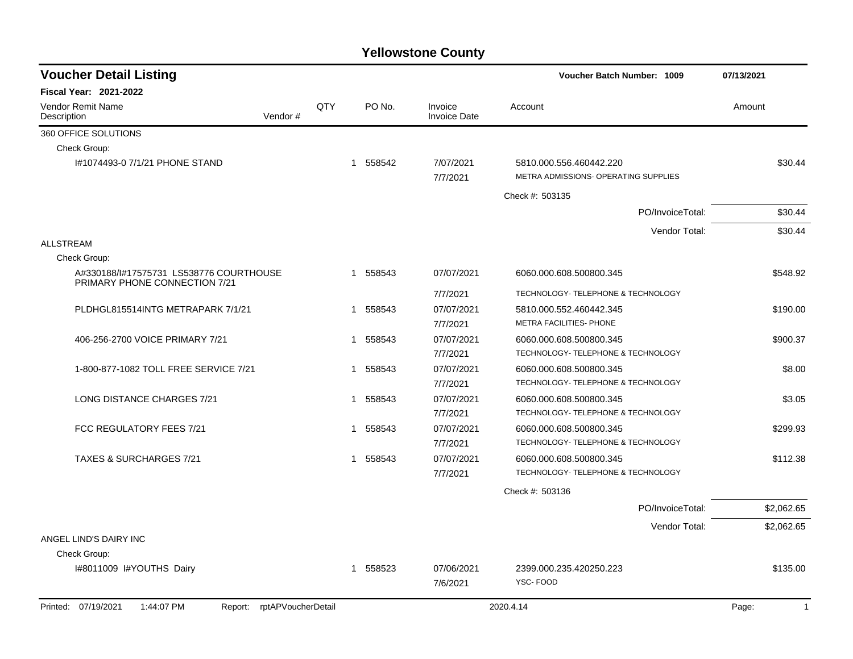| <b>Voucher Detail Listing</b>                                            |                            |     |                        |                                | Voucher Batch Number: 1009                                      | 07/13/2021            |  |
|--------------------------------------------------------------------------|----------------------------|-----|------------------------|--------------------------------|-----------------------------------------------------------------|-----------------------|--|
| Fiscal Year: 2021-2022                                                   |                            |     |                        |                                |                                                                 |                       |  |
| Vendor Remit Name<br>Description                                         | Vendor#                    | QTY | PO No.                 | Invoice<br><b>Invoice Date</b> | Account                                                         | Amount                |  |
| 360 OFFICE SOLUTIONS                                                     |                            |     |                        |                                |                                                                 |                       |  |
| Check Group:                                                             |                            |     |                        |                                |                                                                 |                       |  |
| #1074493-0 7/1/21 PHONE STAND                                            |                            |     | 1 558542               | 7/07/2021<br>7/7/2021          | 5810.000.556.460442.220<br>METRA ADMISSIONS- OPERATING SUPPLIES | \$30.44               |  |
|                                                                          |                            |     |                        |                                | Check #: 503135                                                 |                       |  |
|                                                                          |                            |     |                        |                                | PO/InvoiceTotal:                                                | \$30.44               |  |
|                                                                          |                            |     |                        |                                | Vendor Total:                                                   | \$30.44               |  |
| <b>ALLSTREAM</b>                                                         |                            |     |                        |                                |                                                                 |                       |  |
| Check Group:                                                             |                            |     |                        |                                |                                                                 |                       |  |
| A#330188/I#17575731 LS538776 COURTHOUSE<br>PRIMARY PHONE CONNECTION 7/21 |                            |     | 1 558543               | 07/07/2021                     | 6060.000.608.500800.345                                         | \$548.92              |  |
|                                                                          |                            |     |                        | 7/7/2021                       | TECHNOLOGY- TELEPHONE & TECHNOLOGY                              |                       |  |
| PLDHGL815514INTG METRAPARK 7/1/21                                        |                            |     | 1 558543               | 07/07/2021                     | 5810.000.552.460442.345                                         | \$190.00              |  |
|                                                                          |                            |     |                        | 7/7/2021                       | METRA FACILITIES- PHONE                                         |                       |  |
| 406-256-2700 VOICE PRIMARY 7/21                                          |                            |     | 1 558543               | 07/07/2021                     | 6060.000.608.500800.345                                         | \$900.37              |  |
|                                                                          |                            |     |                        | 7/7/2021                       | TECHNOLOGY- TELEPHONE & TECHNOLOGY                              |                       |  |
| 1-800-877-1082 TOLL FREE SERVICE 7/21                                    |                            |     | 1 558543               | 07/07/2021                     | 6060.000.608.500800.345                                         | \$8.00                |  |
|                                                                          |                            |     |                        | 7/7/2021                       | TECHNOLOGY- TELEPHONE & TECHNOLOGY                              |                       |  |
| <b>LONG DISTANCE CHARGES 7/21</b>                                        |                            |     | 558543<br>$\mathbf{1}$ | 07/07/2021                     | 6060.000.608.500800.345                                         | \$3.05                |  |
|                                                                          |                            |     |                        | 7/7/2021                       | TECHNOLOGY- TELEPHONE & TECHNOLOGY                              |                       |  |
| FCC REGULATORY FEES 7/21                                                 |                            |     | 558543<br>1            | 07/07/2021                     | 6060.000.608.500800.345                                         | \$299.93              |  |
|                                                                          |                            |     |                        | 7/7/2021                       | TECHNOLOGY- TELEPHONE & TECHNOLOGY                              |                       |  |
| <b>TAXES &amp; SURCHARGES 7/21</b>                                       |                            |     | 558543<br>1            | 07/07/2021                     | 6060.000.608.500800.345                                         | \$112.38              |  |
|                                                                          |                            |     |                        | 7/7/2021                       | TECHNOLOGY- TELEPHONE & TECHNOLOGY                              |                       |  |
|                                                                          |                            |     |                        |                                | Check #: 503136                                                 |                       |  |
|                                                                          |                            |     |                        |                                | PO/InvoiceTotal:                                                | \$2,062.65            |  |
|                                                                          |                            |     |                        |                                | Vendor Total:                                                   | \$2,062.65            |  |
| ANGEL LIND'S DAIRY INC                                                   |                            |     |                        |                                |                                                                 |                       |  |
| Check Group:                                                             |                            |     |                        |                                |                                                                 |                       |  |
| I#8011009 I#YOUTHS Dairy                                                 |                            |     | 1 558523               | 07/06/2021                     | 2399.000.235.420250.223                                         | \$135.00              |  |
|                                                                          |                            |     |                        | 7/6/2021                       | YSC-FOOD                                                        |                       |  |
| Printed: 07/19/2021<br>1:44:07 PM                                        | Report: rptAPVoucherDetail |     |                        |                                | 2020.4.14                                                       | Page:<br>$\mathbf{1}$ |  |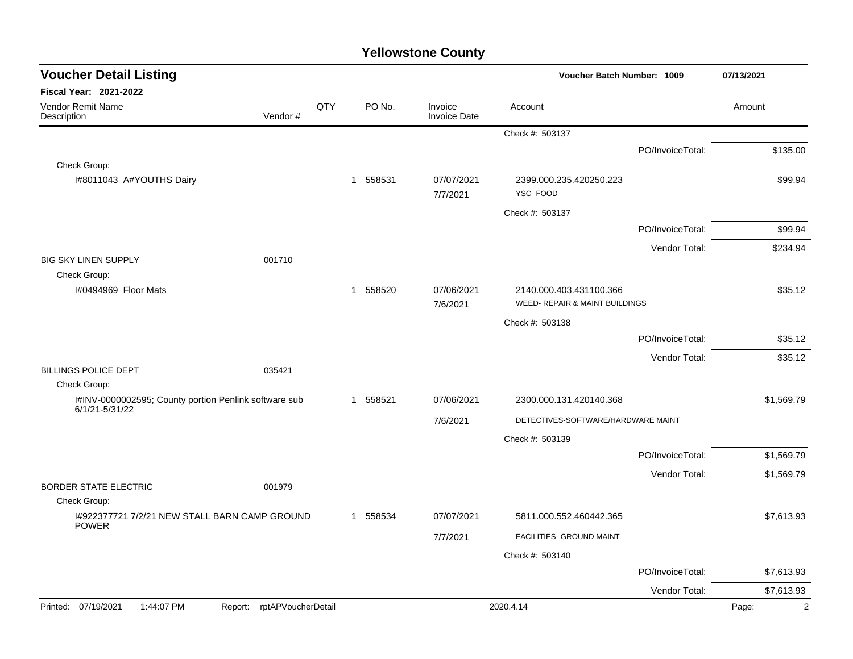| <b>Voucher Detail Listing</b>                                               |                            |     |          |                                | Voucher Batch Number: 1009                                | 07/13/2021       |                         |
|-----------------------------------------------------------------------------|----------------------------|-----|----------|--------------------------------|-----------------------------------------------------------|------------------|-------------------------|
| Fiscal Year: 2021-2022                                                      |                            |     |          |                                |                                                           |                  |                         |
| Vendor Remit Name<br>Description                                            | Vendor#                    | QTY | PO No.   | Invoice<br><b>Invoice Date</b> | Account                                                   |                  | Amount                  |
|                                                                             |                            |     |          |                                | Check #: 503137                                           |                  |                         |
|                                                                             |                            |     |          |                                |                                                           | PO/InvoiceTotal: | \$135.00                |
| Check Group:                                                                |                            |     |          |                                |                                                           |                  |                         |
| I#8011043 A#YOUTHS Dairy                                                    |                            |     | 1 558531 | 07/07/2021<br>7/7/2021         | 2399.000.235.420250.223<br>YSC-FOOD                       |                  | \$99.94                 |
|                                                                             |                            |     |          |                                | Check #: 503137                                           |                  |                         |
|                                                                             |                            |     |          |                                |                                                           | PO/InvoiceTotal: | \$99.94                 |
|                                                                             |                            |     |          |                                |                                                           | Vendor Total:    | \$234.94                |
| <b>BIG SKY LINEN SUPPLY</b>                                                 | 001710                     |     |          |                                |                                                           |                  |                         |
| Check Group:                                                                |                            |     |          |                                |                                                           |                  |                         |
| I#0494969 Floor Mats                                                        |                            |     | 1 558520 | 07/06/2021<br>7/6/2021         | 2140.000.403.431100.366<br>WEED- REPAIR & MAINT BUILDINGS |                  | \$35.12                 |
|                                                                             |                            |     |          |                                | Check #: 503138                                           |                  |                         |
|                                                                             |                            |     |          |                                |                                                           | PO/InvoiceTotal: | \$35.12                 |
|                                                                             |                            |     |          |                                |                                                           |                  |                         |
| <b>BILLINGS POLICE DEPT</b>                                                 | 035421                     |     |          |                                |                                                           | Vendor Total:    | \$35.12                 |
| Check Group:                                                                |                            |     |          |                                |                                                           |                  |                         |
| I#INV-0000002595; County portion Penlink software sub<br>$6/1/21 - 5/31/22$ |                            |     | 1 558521 | 07/06/2021                     | 2300.000.131.420140.368                                   |                  | \$1,569.79              |
|                                                                             |                            |     |          | 7/6/2021                       | DETECTIVES-SOFTWARE/HARDWARE MAINT                        |                  |                         |
|                                                                             |                            |     |          |                                | Check #: 503139                                           |                  |                         |
|                                                                             |                            |     |          |                                |                                                           | PO/InvoiceTotal: | \$1,569.79              |
|                                                                             |                            |     |          |                                |                                                           | Vendor Total:    | \$1,569.79              |
| <b>BORDER STATE ELECTRIC</b>                                                | 001979                     |     |          |                                |                                                           |                  |                         |
| Check Group:                                                                |                            |     |          |                                |                                                           |                  |                         |
| I#922377721 7/2/21 NEW STALL BARN CAMP GROUND<br><b>POWER</b>               |                            |     | 1 558534 | 07/07/2021                     | 5811.000.552.460442.365                                   |                  | \$7,613.93              |
|                                                                             |                            |     |          | 7/7/2021                       | FACILITIES- GROUND MAINT                                  |                  |                         |
|                                                                             |                            |     |          |                                | Check #: 503140                                           |                  |                         |
|                                                                             |                            |     |          |                                |                                                           | PO/InvoiceTotal: | \$7,613.93              |
|                                                                             |                            |     |          |                                |                                                           | Vendor Total:    | \$7,613.93              |
| Printed: 07/19/2021<br>1:44:07 PM                                           | Report: rptAPVoucherDetail |     |          |                                | 2020.4.14                                                 |                  | $\overline{2}$<br>Page: |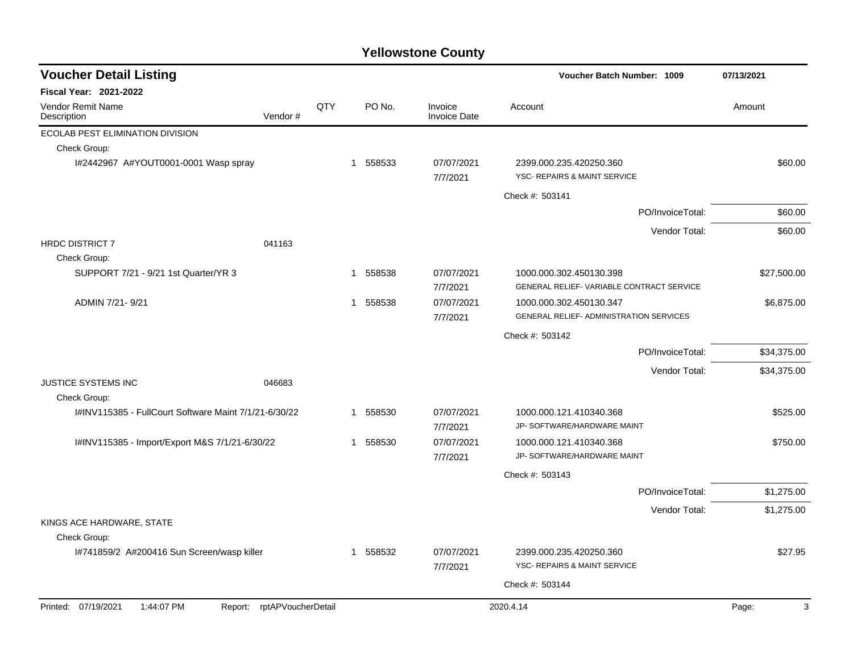| <b>Voucher Detail Listing</b>                         |                            |     |          |                                | Voucher Batch Number: 1009                                                | 07/13/2021  |
|-------------------------------------------------------|----------------------------|-----|----------|--------------------------------|---------------------------------------------------------------------------|-------------|
| <b>Fiscal Year: 2021-2022</b>                         |                            |     |          |                                |                                                                           |             |
| <b>Vendor Remit Name</b><br>Description               | Vendor#                    | QTY | PO No.   | Invoice<br><b>Invoice Date</b> | Account                                                                   | Amount      |
| ECOLAB PEST ELIMINATION DIVISION                      |                            |     |          |                                |                                                                           |             |
| Check Group:                                          |                            |     |          |                                |                                                                           |             |
| I#2442967 A#YOUT0001-0001 Wasp spray                  |                            |     | 1 558533 | 07/07/2021<br>7/7/2021         | 2399.000.235.420250.360<br>YSC- REPAIRS & MAINT SERVICE                   | \$60.00     |
|                                                       |                            |     |          |                                | Check #: 503141                                                           |             |
|                                                       |                            |     |          |                                | PO/InvoiceTotal:                                                          | \$60.00     |
|                                                       |                            |     |          |                                | Vendor Total:                                                             | \$60.00     |
| HRDC DISTRICT 7                                       | 041163                     |     |          |                                |                                                                           |             |
| Check Group:                                          |                            |     |          |                                |                                                                           |             |
| SUPPORT 7/21 - 9/21 1st Quarter/YR 3                  |                            |     | 1 558538 | 07/07/2021<br>7/7/2021         | 1000.000.302.450130.398<br>GENERAL RELIEF- VARIABLE CONTRACT SERVICE      | \$27,500.00 |
| ADMIN 7/21-9/21                                       |                            |     | 1 558538 | 07/07/2021<br>7/7/2021         | 1000.000.302.450130.347<br><b>GENERAL RELIEF- ADMINISTRATION SERVICES</b> | \$6,875.00  |
|                                                       |                            |     |          |                                | Check #: 503142                                                           |             |
|                                                       |                            |     |          |                                | PO/InvoiceTotal:                                                          | \$34,375.00 |
|                                                       |                            |     |          |                                | Vendor Total:                                                             | \$34,375.00 |
| JUSTICE SYSTEMS INC                                   | 046683                     |     |          |                                |                                                                           |             |
| Check Group:                                          |                            |     |          |                                |                                                                           |             |
| I#INV115385 - FullCourt Software Maint 7/1/21-6/30/22 |                            |     | 1 558530 | 07/07/2021<br>7/7/2021         | 1000.000.121.410340.368<br>JP- SOFTWARE/HARDWARE MAINT                    | \$525.00    |
| I#INV115385 - Import/Export M&S 7/1/21-6/30/22        |                            |     | 1 558530 | 07/07/2021                     | 1000.000.121.410340.368                                                   | \$750.00    |
|                                                       |                            |     |          | 7/7/2021                       | JP- SOFTWARE/HARDWARE MAINT                                               |             |
|                                                       |                            |     |          |                                | Check #: 503143                                                           |             |
|                                                       |                            |     |          |                                | PO/InvoiceTotal:                                                          | \$1,275.00  |
|                                                       |                            |     |          |                                | Vendor Total:                                                             | \$1,275.00  |
| KINGS ACE HARDWARE, STATE<br>Check Group:             |                            |     |          |                                |                                                                           |             |
| I#741859/2 A#200416 Sun Screen/wasp killer            |                            |     | 1 558532 | 07/07/2021<br>7/7/2021         | 2399.000.235.420250.360<br>YSC- REPAIRS & MAINT SERVICE                   | \$27.95     |
|                                                       |                            |     |          |                                | Check #: 503144                                                           |             |
| Printed: 07/19/2021<br>1:44:07 PM                     | Report: rptAPVoucherDetail |     |          |                                | 2020.4.14                                                                 | 3<br>Page:  |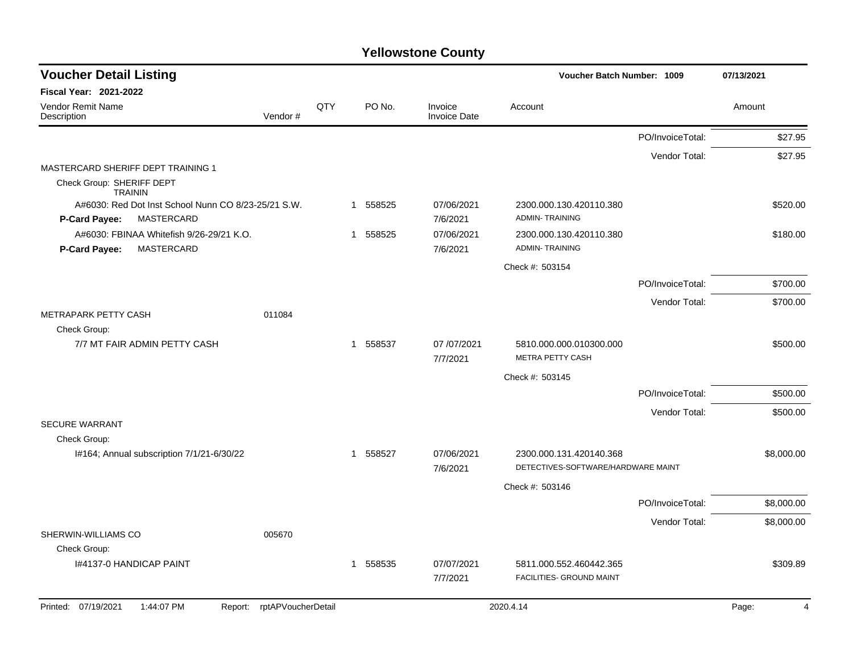| <b>Voucher Detail Listing</b>                                      |     |                        |                                | Voucher Batch Number: 1009                  |                  | 07/13/2021 |
|--------------------------------------------------------------------|-----|------------------------|--------------------------------|---------------------------------------------|------------------|------------|
| Fiscal Year: 2021-2022                                             |     |                        |                                |                                             |                  |            |
| Vendor Remit Name<br>Vendor#<br>Description                        | QTY | PO No.                 | Invoice<br><b>Invoice Date</b> | Account                                     |                  | Amount     |
|                                                                    |     |                        |                                |                                             | PO/InvoiceTotal: | \$27.95    |
|                                                                    |     |                        |                                |                                             | Vendor Total:    | \$27.95    |
| MASTERCARD SHERIFF DEPT TRAINING 1                                 |     |                        |                                |                                             |                  |            |
| Check Group: SHERIFF DEPT<br><b>TRAININ</b>                        |     |                        |                                |                                             |                  |            |
| A#6030: Red Dot Inst School Nunn CO 8/23-25/21 S.W.                |     | 1 558525               | 07/06/2021                     | 2300.000.130.420110.380                     |                  | \$520.00   |
| MASTERCARD<br><b>P-Card Payee:</b>                                 |     |                        | 7/6/2021                       | <b>ADMIN-TRAINING</b>                       |                  |            |
| A#6030: FBINAA Whitefish 9/26-29/21 K.O.                           |     | 558525<br>$\mathbf{1}$ | 07/06/2021                     | 2300.000.130.420110.380                     |                  | \$180.00   |
| <b>P-Card Payee:</b><br>MASTERCARD                                 |     |                        | 7/6/2021                       | <b>ADMIN-TRAINING</b>                       |                  |            |
|                                                                    |     |                        |                                | Check #: 503154                             |                  |            |
|                                                                    |     |                        |                                |                                             | PO/InvoiceTotal: | \$700.00   |
|                                                                    |     |                        |                                |                                             | Vendor Total:    | \$700.00   |
| METRAPARK PETTY CASH<br>011084                                     |     |                        |                                |                                             |                  |            |
| Check Group:                                                       |     |                        |                                |                                             |                  |            |
| 7/7 MT FAIR ADMIN PETTY CASH                                       |     | 558537<br>$\mathbf{1}$ | 07/07/2021<br>7/7/2021         | 5810.000.000.010300.000<br>METRA PETTY CASH |                  | \$500.00   |
|                                                                    |     |                        |                                | Check #: 503145                             |                  |            |
|                                                                    |     |                        |                                |                                             | PO/InvoiceTotal: | \$500.00   |
|                                                                    |     |                        |                                |                                             | Vendor Total:    | \$500.00   |
| <b>SECURE WARRANT</b>                                              |     |                        |                                |                                             |                  |            |
| Check Group:                                                       |     |                        |                                |                                             |                  |            |
| I#164; Annual subscription 7/1/21-6/30/22                          |     | 1 558527               | 07/06/2021                     | 2300.000.131.420140.368                     |                  | \$8,000.00 |
|                                                                    |     |                        | 7/6/2021                       | DETECTIVES-SOFTWARE/HARDWARE MAINT          |                  |            |
|                                                                    |     |                        |                                | Check #: 503146                             |                  |            |
|                                                                    |     |                        |                                |                                             | PO/InvoiceTotal: | \$8,000.00 |
|                                                                    |     |                        |                                |                                             | Vendor Total:    | \$8,000.00 |
| SHERWIN-WILLIAMS CO<br>005670<br>Check Group:                      |     |                        |                                |                                             |                  |            |
| 1#4137-0 HANDICAP PAINT                                            |     | 558535<br>$\mathbf{1}$ | 07/07/2021                     | 5811.000.552.460442.365                     |                  | \$309.89   |
|                                                                    |     |                        | 7/7/2021                       | FACILITIES- GROUND MAINT                    |                  |            |
| Printed: 07/19/2021<br>1:44:07 PM<br>rptAPVoucherDetail<br>Report: |     |                        |                                | 2020.4.14                                   |                  | Page:<br>4 |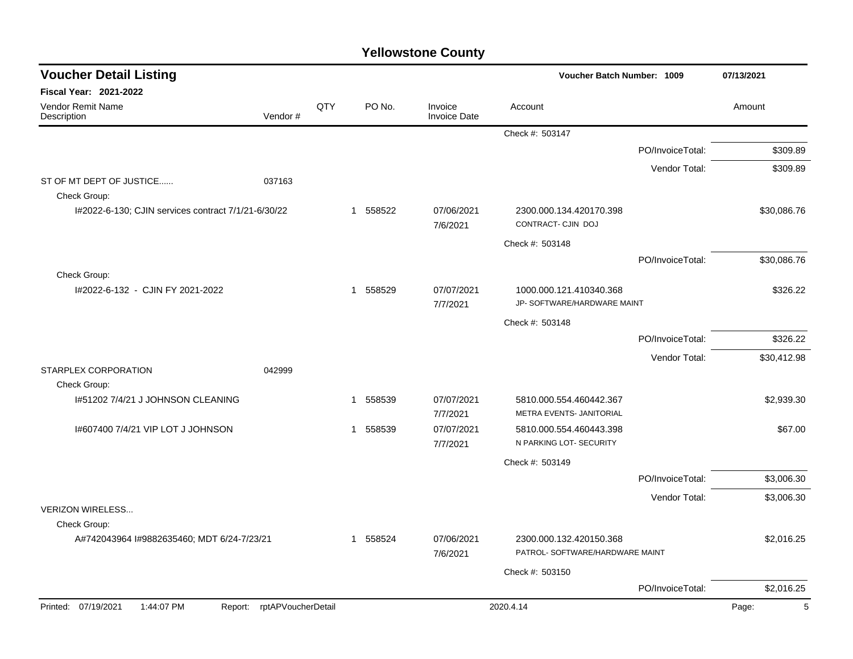| <b>Voucher Detail Listing</b>                       |                            |     |                        |                                | <b>Voucher Batch Number: 1009</b>                          | 07/13/2021       |             |
|-----------------------------------------------------|----------------------------|-----|------------------------|--------------------------------|------------------------------------------------------------|------------------|-------------|
| Fiscal Year: 2021-2022                              |                            |     |                        |                                |                                                            |                  |             |
| <b>Vendor Remit Name</b><br>Description             | Vendor#                    | QTY | PO No.                 | Invoice<br><b>Invoice Date</b> | Account                                                    |                  | Amount      |
|                                                     |                            |     |                        |                                | Check #: 503147                                            |                  |             |
|                                                     |                            |     |                        |                                |                                                            | PO/InvoiceTotal: | \$309.89    |
|                                                     |                            |     |                        |                                |                                                            | Vendor Total:    | \$309.89    |
| ST OF MT DEPT OF JUSTICE<br>Check Group:            | 037163                     |     |                        |                                |                                                            |                  |             |
| I#2022-6-130; CJIN services contract 7/1/21-6/30/22 |                            |     | 1 558522               | 07/06/2021<br>7/6/2021         | 2300.000.134.420170.398<br>CONTRACT- CJIN DOJ              |                  | \$30,086.76 |
|                                                     |                            |     |                        |                                | Check #: 503148                                            |                  |             |
|                                                     |                            |     |                        |                                |                                                            | PO/InvoiceTotal: | \$30,086.76 |
| Check Group:<br>I#2022-6-132 - CJIN FY 2021-2022    |                            |     | 1 558529               | 07/07/2021<br>7/7/2021         | 1000.000.121.410340.368<br>JP- SOFTWARE/HARDWARE MAINT     |                  | \$326.22    |
|                                                     |                            |     |                        |                                | Check #: 503148                                            |                  |             |
|                                                     |                            |     |                        |                                |                                                            | PO/InvoiceTotal: | \$326.22    |
|                                                     |                            |     |                        |                                |                                                            | Vendor Total:    | \$30,412.98 |
| STARPLEX CORPORATION<br>Check Group:                | 042999                     |     |                        |                                |                                                            |                  |             |
| I#51202 7/4/21 J JOHNSON CLEANING                   |                            |     | 558539<br>$\mathbf{1}$ | 07/07/2021<br>7/7/2021         | 5810.000.554.460442.367<br>METRA EVENTS- JANITORIAL        |                  | \$2,939.30  |
| 1#607400 7/4/21 VIP LOT J JOHNSON                   |                            |     | 1 558539               | 07/07/2021<br>7/7/2021         | 5810.000.554.460443.398<br>N PARKING LOT- SECURITY         |                  | \$67.00     |
|                                                     |                            |     |                        |                                | Check #: 503149                                            |                  |             |
|                                                     |                            |     |                        |                                |                                                            | PO/InvoiceTotal: | \$3,006.30  |
|                                                     |                            |     |                        |                                |                                                            | Vendor Total:    | \$3,006.30  |
| <b>VERIZON WIRELESS</b><br>Check Group:             |                            |     |                        |                                |                                                            |                  |             |
| A#742043964 I#9882635460; MDT 6/24-7/23/21          |                            |     | 558524<br>1            | 07/06/2021<br>7/6/2021         | 2300.000.132.420150.368<br>PATROL- SOFTWARE/HARDWARE MAINT |                  | \$2,016.25  |
|                                                     |                            |     |                        |                                | Check #: 503150                                            |                  |             |
|                                                     |                            |     |                        |                                |                                                            | PO/InvoiceTotal: | \$2,016.25  |
| Printed: 07/19/2021<br>1:44:07 PM                   | Report: rptAPVoucherDetail |     |                        |                                | 2020.4.14                                                  |                  | Page:<br>5  |